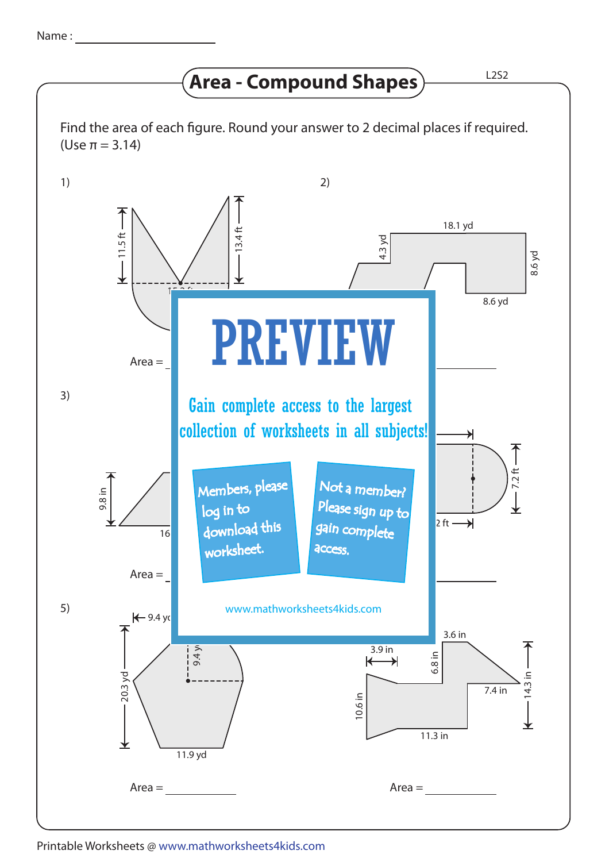## **Area - Compound Shapes** HAPS

Find the area of each figure. Round your answer to 2 decimal places if required. (Use π = 3.14)



## Printable Worksheets @ www.mathworksheets4kids.com